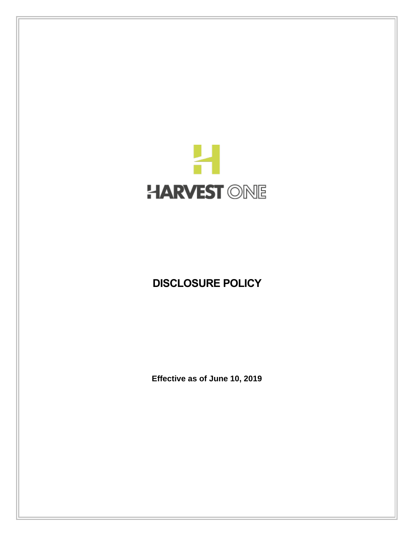

# **DISCLOSURE POLICY**

**Effective as of June 10, 2019**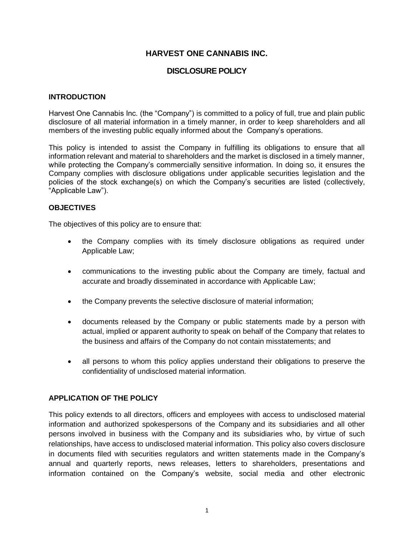# **HARVEST ONE CANNABIS INC.**

# **DISCLOSURE POLICY**

#### **INTRODUCTION**

Harvest One Cannabis Inc. (the "Company") is committed to a policy of full, true and plain public disclosure of all material information in a timely manner, in order to keep shareholders and all members of the investing public equally informed about the Company's operations.

This policy is intended to assist the Company in fulfilling its obligations to ensure that all information relevant and material to shareholders and the market is disclosed in a timely manner, while protecting the Company's commercially sensitive information. In doing so, it ensures the Company complies with disclosure obligations under applicable securities legislation and the policies of the stock exchange(s) on which the Company's securities are listed (collectively, "Applicable Law").

#### **OBJECTIVES**

The objectives of this policy are to ensure that:

- the Company complies with its timely disclosure obligations as required under Applicable Law;
- communications to the investing public about the Company are timely, factual and accurate and broadly disseminated in accordance with Applicable Law;
- the Company prevents the selective disclosure of material information;
- documents released by the Company or public statements made by a person with actual, implied or apparent authority to speak on behalf of the Company that relates to the business and affairs of the Company do not contain misstatements; and
- all persons to whom this policy applies understand their obligations to preserve the confidentiality of undisclosed material information.

## **APPLICATION OF THE POLICY**

This policy extends to all directors, officers and employees with access to undisclosed material information and authorized spokespersons of the Company and its subsidiaries and all other persons involved in business with the Company and its subsidiaries who, by virtue of such relationships, have access to undisclosed material information. This policy also covers disclosure in documents filed with securities regulators and written statements made in the Company's annual and quarterly reports, news releases, letters to shareholders, presentations and information contained on the Company's website, social media and other electronic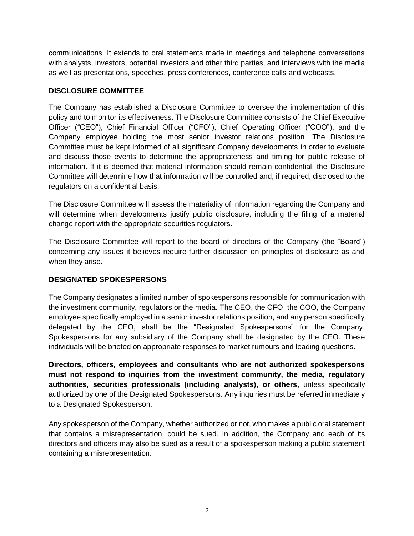communications. It extends to oral statements made in meetings and telephone conversations with analysts, investors, potential investors and other third parties, and interviews with the media as well as presentations, speeches, press conferences, conference calls and webcasts.

# **DISCLOSURE COMMITTEE**

The Company has established a Disclosure Committee to oversee the implementation of this policy and to monitor its effectiveness. The Disclosure Committee consists of the Chief Executive Officer ("CEO"), Chief Financial Officer ("CFO"), Chief Operating Officer ("COO"), and the Company employee holding the most senior investor relations position. The Disclosure Committee must be kept informed of all significant Company developments in order to evaluate and discuss those events to determine the appropriateness and timing for public release of information. If it is deemed that material information should remain confidential, the Disclosure Committee will determine how that information will be controlled and, if required, disclosed to the regulators on a confidential basis.

The Disclosure Committee will assess the materiality of information regarding the Company and will determine when developments justify public disclosure, including the filing of a material change report with the appropriate securities regulators.

The Disclosure Committee will report to the board of directors of the Company (the "Board") concerning any issues it believes require further discussion on principles of disclosure as and when they arise.

# **DESIGNATED SPOKESPERSONS**

The Company designates a limited number of spokespersons responsible for communication with the investment community, regulators or the media. The CEO, the CFO, the COO, the Company employee specifically employed in a senior investor relations position, and any person specifically delegated by the CEO, shall be the "Designated Spokespersons" for the Company. Spokespersons for any subsidiary of the Company shall be designated by the CEO. These individuals will be briefed on appropriate responses to market rumours and leading questions.

**Directors, officers, employees and consultants who are not authorized spokespersons must not respond to inquiries from the investment community, the media, regulatory authorities, securities professionals (including analysts), or others,** unless specifically authorized by one of the Designated Spokespersons. Any inquiries must be referred immediately to a Designated Spokesperson.

Any spokesperson of the Company, whether authorized or not, who makes a public oral statement that contains a misrepresentation, could be sued. In addition, the Company and each of its directors and officers may also be sued as a result of a spokesperson making a public statement containing a misrepresentation.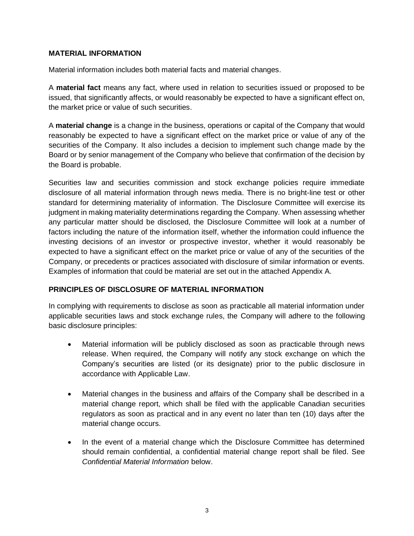## **MATERIAL INFORMATION**

Material information includes both material facts and material changes.

A **material fact** means any fact, where used in relation to securities issued or proposed to be issued, that significantly affects, or would reasonably be expected to have a significant effect on, the market price or value of such securities.

A **material change** is a change in the business, operations or capital of the Company that would reasonably be expected to have a significant effect on the market price or value of any of the securities of the Company. It also includes a decision to implement such change made by the Board or by senior management of the Company who believe that confirmation of the decision by the Board is probable.

Securities law and securities commission and stock exchange policies require immediate disclosure of all material information through news media. There is no bright-line test or other standard for determining materiality of information. The Disclosure Committee will exercise its judgment in making materiality determinations regarding the Company. When assessing whether any particular matter should be disclosed, the Disclosure Committee will look at a number of factors including the nature of the information itself, whether the information could influence the investing decisions of an investor or prospective investor, whether it would reasonably be expected to have a significant effect on the market price or value of any of the securities of the Company, or precedents or practices associated with disclosure of similar information or events. Examples of information that could be material are set out in the attached Appendix A.

## **PRINCIPLES OF DISCLOSURE OF MATERIAL INFORMATION**

In complying with requirements to disclose as soon as practicable all material information under applicable securities laws and stock exchange rules, the Company will adhere to the following basic disclosure principles:

- Material information will be publicly disclosed as soon as practicable through news release. When required, the Company will notify any stock exchange on which the Company's securities are listed (or its designate) prior to the public disclosure in accordance with Applicable Law.
- Material changes in the business and affairs of the Company shall be described in a material change report, which shall be filed with the applicable Canadian securities regulators as soon as practical and in any event no later than ten (10) days after the material change occurs.
- In the event of a material change which the Disclosure Committee has determined should remain confidential, a confidential material change report shall be filed. See *Confidential Material Information* below.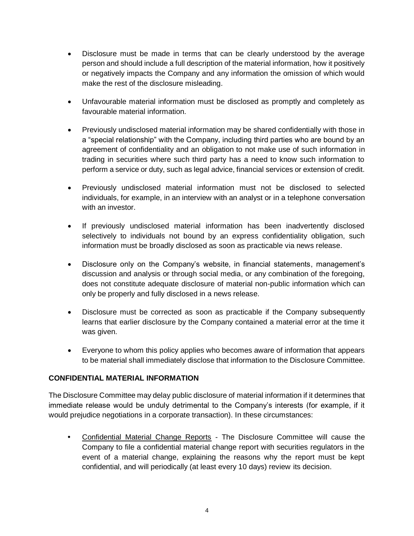- Disclosure must be made in terms that can be clearly understood by the average person and should include a full description of the material information, how it positively or negatively impacts the Company and any information the omission of which would make the rest of the disclosure misleading.
- Unfavourable material information must be disclosed as promptly and completely as favourable material information.
- Previously undisclosed material information may be shared confidentially with those in a "special relationship" with the Company, including third parties who are bound by an agreement of confidentiality and an obligation to not make use of such information in trading in securities where such third party has a need to know such information to perform a service or duty, such as legal advice, financial services or extension of credit.
- Previously undisclosed material information must not be disclosed to selected individuals, for example, in an interview with an analyst or in a telephone conversation with an investor.
- If previously undisclosed material information has been inadvertently disclosed selectively to individuals not bound by an express confidentiality obligation, such information must be broadly disclosed as soon as practicable via news release.
- Disclosure only on the Company's website, in financial statements, management's discussion and analysis or through social media, or any combination of the foregoing, does not constitute adequate disclosure of material non-public information which can only be properly and fully disclosed in a news release.
- Disclosure must be corrected as soon as practicable if the Company subsequently learns that earlier disclosure by the Company contained a material error at the time it was given.
- Everyone to whom this policy applies who becomes aware of information that appears to be material shall immediately disclose that information to the Disclosure Committee.

# **CONFIDENTIAL MATERIAL INFORMATION**

The Disclosure Committee may delay public disclosure of material information if it determines that immediate release would be unduly detrimental to the Company's interests (for example, if it would prejudice negotiations in a corporate transaction). In these circumstances:

**•** Confidential Material Change Reports - The Disclosure Committee will cause the Company to file a confidential material change report with securities regulators in the event of a material change, explaining the reasons why the report must be kept confidential, and will periodically (at least every 10 days) review its decision.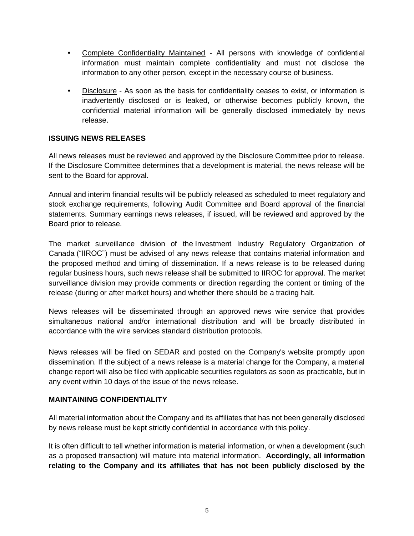- **•** Complete Confidentiality Maintained All persons with knowledge of confidential information must maintain complete confidentiality and must not disclose the information to any other person, except in the necessary course of business.
- **•** Disclosure As soon as the basis for confidentiality ceases to exist, or information is inadvertently disclosed or is leaked, or otherwise becomes publicly known, the confidential material information will be generally disclosed immediately by news release.

## **ISSUING NEWS RELEASES**

All news releases must be reviewed and approved by the Disclosure Committee prior to release. If the Disclosure Committee determines that a development is material, the news release will be sent to the Board for approval.

Annual and interim financial results will be publicly released as scheduled to meet regulatory and stock exchange requirements, following Audit Committee and Board approval of the financial statements. Summary earnings news releases, if issued, will be reviewed and approved by the Board prior to release.

The market surveillance division of the Investment Industry Regulatory Organization of Canada ("IIROC") must be advised of any news release that contains material information and the proposed method and timing of dissemination. If a news release is to be released during regular business hours, such news release shall be submitted to IIROC for approval. The market surveillance division may provide comments or direction regarding the content or timing of the release (during or after market hours) and whether there should be a trading halt.

News releases will be disseminated through an approved news wire service that provides simultaneous national and/or international distribution and will be broadly distributed in accordance with the wire services standard distribution protocols.

News releases will be filed on SEDAR and posted on the Company's website promptly upon dissemination. If the subject of a news release is a material change for the Company, a material change report will also be filed with applicable securities regulators as soon as practicable, but in any event within 10 days of the issue of the news release.

## **MAINTAINING CONFIDENTIALITY**

All material information about the Company and its affiliates that has not been generally disclosed by news release must be kept strictly confidential in accordance with this policy.

It is often difficult to tell whether information is material information, or when a development (such as a proposed transaction) will mature into material information. **Accordingly, all information relating to the Company and its affiliates that has not been publicly disclosed by the**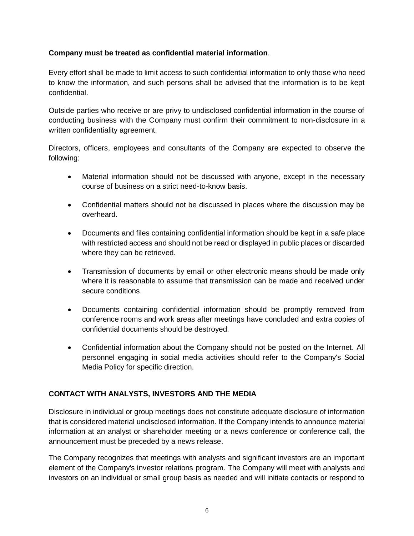# **Company must be treated as confidential material information**.

Every effort shall be made to limit access to such confidential information to only those who need to know the information, and such persons shall be advised that the information is to be kept confidential.

Outside parties who receive or are privy to undisclosed confidential information in the course of conducting business with the Company must confirm their commitment to non-disclosure in a written confidentiality agreement.

Directors, officers, employees and consultants of the Company are expected to observe the following:

- Material information should not be discussed with anyone, except in the necessary course of business on a strict need-to-know basis.
- Confidential matters should not be discussed in places where the discussion may be overheard.
- Documents and files containing confidential information should be kept in a safe place with restricted access and should not be read or displayed in public places or discarded where they can be retrieved.
- Transmission of documents by email or other electronic means should be made only where it is reasonable to assume that transmission can be made and received under secure conditions.
- Documents containing confidential information should be promptly removed from conference rooms and work areas after meetings have concluded and extra copies of confidential documents should be destroyed.
- Confidential information about the Company should not be posted on the Internet. All personnel engaging in social media activities should refer to the Company's Social Media Policy for specific direction.

# **CONTACT WITH ANALYSTS, INVESTORS AND THE MEDIA**

Disclosure in individual or group meetings does not constitute adequate disclosure of information that is considered material undisclosed information. If the Company intends to announce material information at an analyst or shareholder meeting or a news conference or conference call, the announcement must be preceded by a news release.

The Company recognizes that meetings with analysts and significant investors are an important element of the Company's investor relations program. The Company will meet with analysts and investors on an individual or small group basis as needed and will initiate contacts or respond to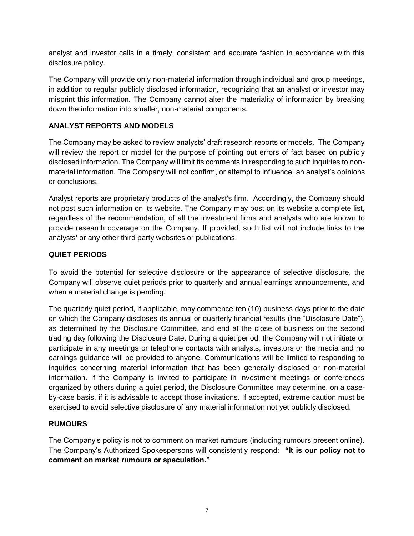analyst and investor calls in a timely, consistent and accurate fashion in accordance with this disclosure policy.

The Company will provide only non-material information through individual and group meetings, in addition to regular publicly disclosed information, recognizing that an analyst or investor may misprint this information. The Company cannot alter the materiality of information by breaking down the information into smaller, non-material components.

# **ANALYST REPORTS AND MODELS**

The Company may be asked to review analysts' draft research reports or models. The Company will review the report or model for the purpose of pointing out errors of fact based on publicly disclosed information. The Company will limit its comments in responding to such inquiries to nonmaterial information. The Company will not confirm, or attempt to influence, an analyst's opinions or conclusions.

Analyst reports are proprietary products of the analyst's firm. Accordingly, the Company should not post such information on its website. The Company may post on its website a complete list, regardless of the recommendation, of all the investment firms and analysts who are known to provide research coverage on the Company. If provided, such list will not include links to the analysts' or any other third party websites or publications.

## **QUIET PERIODS**

To avoid the potential for selective disclosure or the appearance of selective disclosure, the Company will observe quiet periods prior to quarterly and annual earnings announcements, and when a material change is pending.

The quarterly quiet period, if applicable, may commence ten (10) business days prior to the date on which the Company discloses its annual or quarterly financial results (the "Disclosure Date"), as determined by the Disclosure Committee, and end at the close of business on the second trading day following the Disclosure Date. During a quiet period, the Company will not initiate or participate in any meetings or telephone contacts with analysts, investors or the media and no earnings guidance will be provided to anyone. Communications will be limited to responding to inquiries concerning material information that has been generally disclosed or non-material information. If the Company is invited to participate in investment meetings or conferences organized by others during a quiet period, the Disclosure Committee may determine, on a caseby-case basis, if it is advisable to accept those invitations. If accepted, extreme caution must be exercised to avoid selective disclosure of any material information not yet publicly disclosed.

# **RUMOURS**

The Company's policy is not to comment on market rumours (including rumours present online). The Company's Authorized Spokespersons will consistently respond: **"It is our policy not to comment on market rumours or speculation."**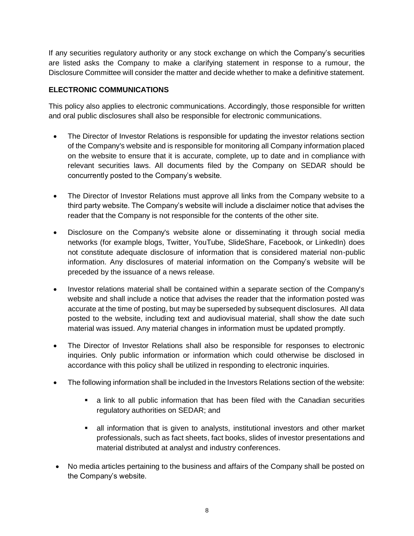If any securities regulatory authority or any stock exchange on which the Company's securities are listed asks the Company to make a clarifying statement in response to a rumour, the Disclosure Committee will consider the matter and decide whether to make a definitive statement.

# **ELECTRONIC COMMUNICATIONS**

This policy also applies to electronic communications. Accordingly, those responsible for written and oral public disclosures shall also be responsible for electronic communications.

- The Director of Investor Relations is responsible for updating the investor relations section of the Company's website and is responsible for monitoring all Company information placed on the website to ensure that it is accurate, complete, up to date and in compliance with relevant securities laws. All documents filed by the Company on SEDAR should be concurrently posted to the Company's website.
- The Director of Investor Relations must approve all links from the Company website to a third party website. The Company's website will include a disclaimer notice that advises the reader that the Company is not responsible for the contents of the other site.
- Disclosure on the Company's website alone or disseminating it through social media networks (for example blogs, Twitter, YouTube, SlideShare, Facebook, or LinkedIn) does not constitute adequate disclosure of information that is considered material non-public information. Any disclosures of material information on the Company's website will be preceded by the issuance of a news release.
- Investor relations material shall be contained within a separate section of the Company's website and shall include a notice that advises the reader that the information posted was accurate at the time of posting, but may be superseded by subsequent disclosures. All data posted to the website, including text and audiovisual material, shall show the date such material was issued. Any material changes in information must be updated promptly.
- The Director of Investor Relations shall also be responsible for responses to electronic inquiries. Only public information or information which could otherwise be disclosed in accordance with this policy shall be utilized in responding to electronic inquiries.
- The following information shall be included in the Investors Relations section of the website:
	- a link to all public information that has been filed with the Canadian securities regulatory authorities on SEDAR; and
	- **E** all information that is given to analysts, institutional investors and other market professionals, such as fact sheets, fact books, slides of investor presentations and material distributed at analyst and industry conferences.
- No media articles pertaining to the business and affairs of the Company shall be posted on the Company's website.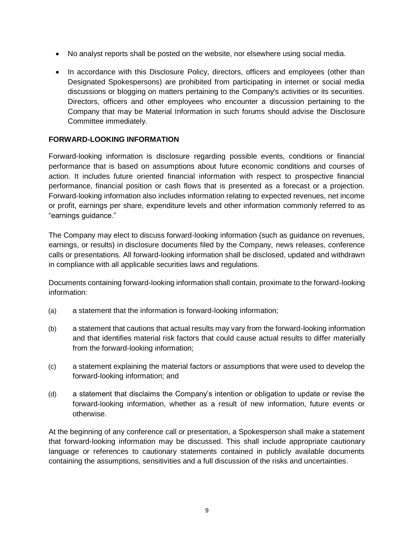- No analyst reports shall be posted on the website, nor elsewhere using social media.
- In accordance with this Disclosure Policy, directors, officers and employees (other than Designated Spokespersons) are prohibited from participating in internet or social media discussions or blogging on matters pertaining to the Company's activities or its securities. Directors, officers and other employees who encounter a discussion pertaining to the Company that may be Material Information in such forums should advise the Disclosure Committee immediately.

# **FORWARD-LOOKING INFORMATION**

Forward-looking information is disclosure regarding possible events, conditions or financial performance that is based on assumptions about future economic conditions and courses of action. It includes future oriented financial information with respect to prospective financial performance, financial position or cash flows that is presented as a forecast or a projection. Forward-looking information also includes information relating to expected revenues, net income or profit, earnings per share, expenditure levels and other information commonly referred to as "earnings guidance."

The Company may elect to discuss forward-looking information (such as guidance on revenues, earnings, or results) in disclosure documents filed by the Company, news releases, conference calls or presentations. All forward-looking information shall be disclosed, updated and withdrawn in compliance with all applicable securities laws and regulations.

Documents containing forward-looking information shall contain, proximate to the forward-looking information:

- (a) a statement that the information is forward-looking information;
- (b) a statement that cautions that actual results may vary from the forward-looking information and that identifies material risk factors that could cause actual results to differ materially from the forward-looking information;
- (c) a statement explaining the material factors or assumptions that were used to develop the forward-looking information; and
- (d) a statement that disclaims the Company's intention or obligation to update or revise the forward-looking information, whether as a result of new information, future events or otherwise.

At the beginning of any conference call or presentation, a Spokesperson shall make a statement that forward-looking information may be discussed. This shall include appropriate cautionary language or references to cautionary statements contained in publicly available documents containing the assumptions, sensitivities and a full discussion of the risks and uncertainties.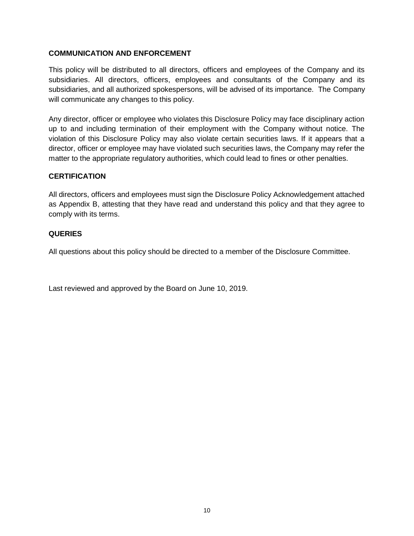## **COMMUNICATION AND ENFORCEMENT**

This policy will be distributed to all directors, officers and employees of the Company and its subsidiaries. All directors, officers, employees and consultants of the Company and its subsidiaries, and all authorized spokespersons, will be advised of its importance. The Company will communicate any changes to this policy.

Any director, officer or employee who violates this Disclosure Policy may face disciplinary action up to and including termination of their employment with the Company without notice. The violation of this Disclosure Policy may also violate certain securities laws. If it appears that a director, officer or employee may have violated such securities laws, the Company may refer the matter to the appropriate regulatory authorities, which could lead to fines or other penalties.

## **CERTIFICATION**

All directors, officers and employees must sign the Disclosure Policy Acknowledgement attached as Appendix B, attesting that they have read and understand this policy and that they agree to comply with its terms.

## **QUERIES**

All questions about this policy should be directed to a member of the Disclosure Committee.

Last reviewed and approved by the Board on June 10, 2019.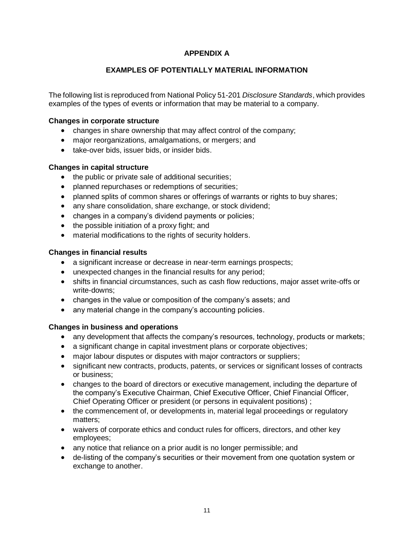# **APPENDIX A**

## **EXAMPLES OF POTENTIALLY MATERIAL INFORMATION**

The following list is reproduced from National Policy 51-201 *Disclosure Standards*, which provides examples of the types of events or information that may be material to a company.

#### **Changes in corporate structure**

- changes in share ownership that may affect control of the company;
- major reorganizations, amalgamations, or mergers; and
- take-over bids, issuer bids, or insider bids.

## **Changes in capital structure**

- the public or private sale of additional securities;
- planned repurchases or redemptions of securities;
- planned splits of common shares or offerings of warrants or rights to buy shares;
- any share consolidation, share exchange, or stock dividend;
- changes in a company's dividend payments or policies;
- the possible initiation of a proxy fight; and
- material modifications to the rights of security holders.

## **Changes in financial results**

- a significant increase or decrease in near-term earnings prospects;
- unexpected changes in the financial results for any period;
- shifts in financial circumstances, such as cash flow reductions, major asset write-offs or write-downs;
- changes in the value or composition of the company's assets; and
- any material change in the company's accounting policies.

## **Changes in business and operations**

- any development that affects the company's resources, technology, products or markets;
- a significant change in capital investment plans or corporate objectives;
- major labour disputes or disputes with major contractors or suppliers;
- significant new contracts, products, patents, or services or significant losses of contracts or business;
- changes to the board of directors or executive management, including the departure of the company's Executive Chairman, Chief Executive Officer, Chief Financial Officer, Chief Operating Officer or president (or persons in equivalent positions) ;
- the commencement of, or developments in, material legal proceedings or regulatory matters;
- waivers of corporate ethics and conduct rules for officers, directors, and other key employees;
- any notice that reliance on a prior audit is no longer permissible; and
- de-listing of the company's securities or their movement from one quotation system or exchange to another.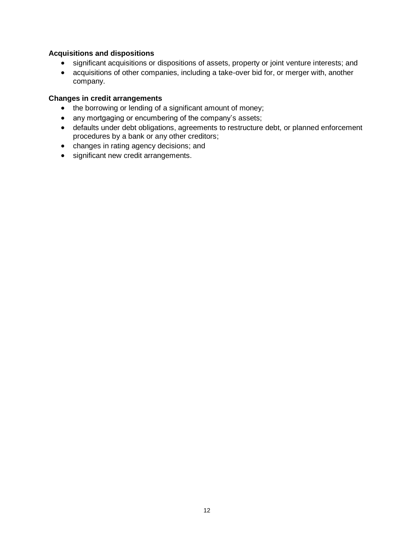## **Acquisitions and dispositions**

- significant acquisitions or dispositions of assets, property or joint venture interests; and
- acquisitions of other companies, including a take-over bid for, or merger with, another company.

#### **Changes in credit arrangements**

- the borrowing or lending of a significant amount of money;
- any mortgaging or encumbering of the company's assets;
- defaults under debt obligations, agreements to restructure debt, or planned enforcement procedures by a bank or any other creditors;
- changes in rating agency decisions; and
- significant new credit arrangements.